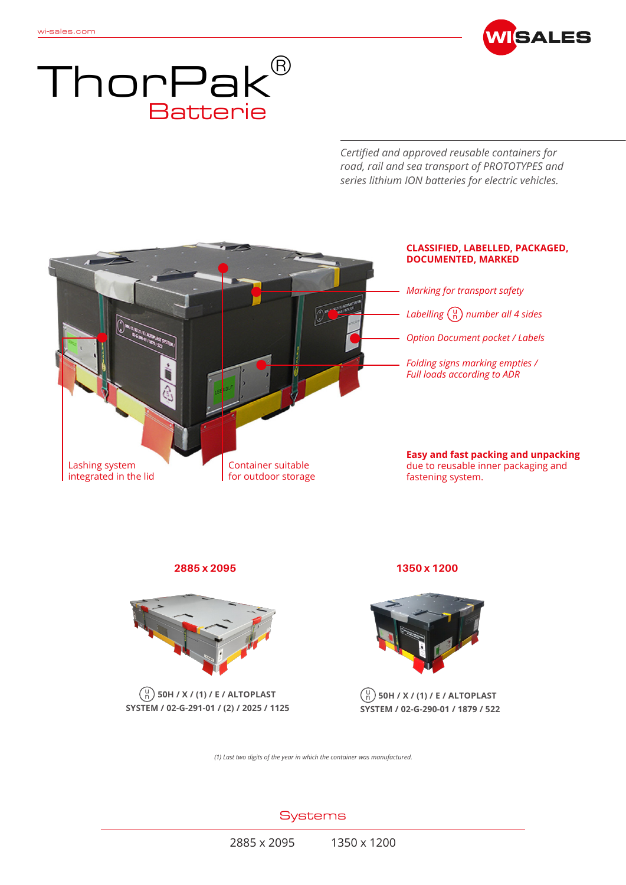



*Certified and approved reusable containers for road, rail and sea transport of PROTOTYPES and series lithium ION batteries for electric vehicles.*



**2885 x 2095 1350 x 1200**



 $\binom{u}{n}$  50H / X / (1) / E / ALTOPLAST **SYSTEM / 02-G-291-01 / (2) / 2025 / 1125**



## **50H / X / (1) / E / ALTOPLAST SYSTEM / 02-G-290-01 / 1879 / 522**

*(1) Last two digits of the year in which the container was manufactured.*

**Systems**